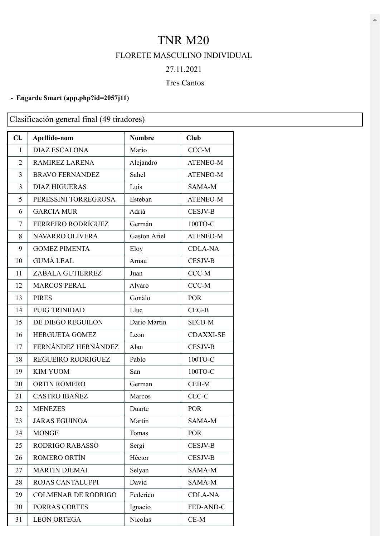## TNR M20 FLORETE MASCULINO INDIVIDUAL

# 27.11.2021

### Tres Cantos

#### **- Engarde Smart [\(app.php?id=2057j11\)](https://engarde-service.com/app.php?id=2057j11)**

Clasificación general final (49 tiradores)

| Cl.            | Apellido-nom               | <b>Nombre</b> | <b>Club</b>      |
|----------------|----------------------------|---------------|------------------|
| 1              | <b>DIAZ ESCALONA</b>       | Mario         | CCC-M            |
| $\overline{2}$ | <b>RAMIREZ LARENA</b>      | Alejandro     | <b>ATENEO-M</b>  |
| 3              | <b>BRAVO FERNANDEZ</b>     | Sahel         | <b>ATENEO-M</b>  |
| 3              | <b>DIAZ HIGUERAS</b>       | Luis          | SAMA-M           |
| 5              | PERESSINI TORREGROSA       | Esteban       | <b>ATENEO-M</b>  |
| 6              | <b>GARCIA MUR</b>          | Adrià         | <b>CESJV-B</b>   |
| 7              | FERREIRO RODRÍGUEZ         | Germán        | 100TO-C          |
| 8              | NAVARRO OLIVERA            | Gaston Ariel  | <b>ATENEO-M</b>  |
| 9              | <b>GOMEZ PIMENTA</b>       | Eloy          | <b>CDLA-NA</b>   |
| 10             | <b>GUMÀ LEAL</b>           | Arnau         | <b>CESJV-B</b>   |
| 11             | ZABALA GUTIERREZ           | Juan          | $CCC-M$          |
| 12             | <b>MARCOS PERAL</b>        | Alvaro        | CCC-M            |
| 13             | <b>PIRES</b>               | Gonälo        | <b>POR</b>       |
| 14             | <b>PUIG TRINIDAD</b>       | Lluc          | $CEG-B$          |
| 15             | DE DIEGO REGUILON          | Dario Martin  | <b>SECB-M</b>    |
| 16             | <b>HERGUETA GOMEZ</b>      | Leon          | <b>CDAXXI-SE</b> |
| 17             | FERNÀNDEZ HERNÀNDEZ        | Alan          | <b>CESJV-B</b>   |
| 18             | REGUEIRO RODRIGUEZ         | Pablo         | 100TO-C          |
| 19             | <b>KIM YUOM</b>            | San           | 100TO-C          |
| 20             | <b>ORTIN ROMERO</b>        | German        | CEB-M            |
| 21             | <b>CASTRO IBAÑEZ</b>       | Marcos        | CEC-C            |
| 22             | <b>MENEZES</b>             | Duarte        | <b>POR</b>       |
| 23             | <b>JARAS EGUINOA</b>       | Martin        | SAMA-M           |
| 24             | <b>MONGE</b>               | Tomas         | <b>POR</b>       |
| 25             | RODRIGO RABASSÓ            | Sergi         | <b>CESJV-B</b>   |
| 26             | ROMERO ORTÍN               | Héctor        | <b>CESJV-B</b>   |
| 27             | <b>MARTIN DJEMAI</b>       | Selyan        | SAMA-M           |
| 28             | ROJAS CANTALUPPI           | David         | SAMA-M           |
| 29             | <b>COLMENAR DE RODRIGO</b> | Federico      | <b>CDLA-NA</b>   |
| 30             | PORRAS CORTES              | Ignacio       | FED-AND-C        |
| 31             | LEÓN ORTEGA                | Nicolas       | $CE-M$           |